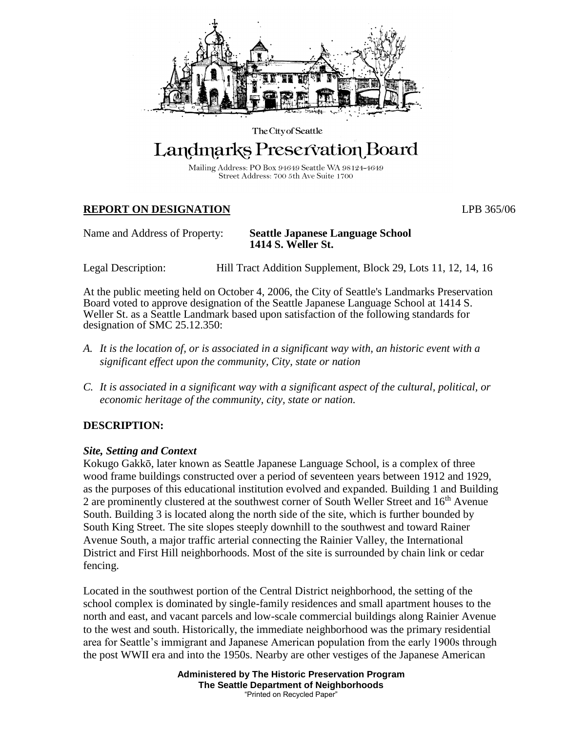

The City of Seattle

# Landmarks Preservation Board

Mailing Address: PO Box 94649 Seattle WA 98124-4649 Street Address: 700 5th Ave Suite 1700

## **REPORT ON DESIGNATION** LPB 365/06

#### Name and Address of Property: **Seattle Japanese Language School 1414 S. Weller St.**

Legal Description: Hill Tract Addition Supplement, Block 29, Lots 11, 12, 14, 16

At the public meeting held on October 4, 2006, the City of Seattle's Landmarks Preservation Board voted to approve designation of the Seattle Japanese Language School at 1414 S. Weller St. as a Seattle Landmark based upon satisfaction of the following standards for designation of SMC 25.12.350:

- *A. It is the location of, or is associated in a significant way with, an historic event with a significant effect upon the community, City, state or nation*
- *C. It is associated in a significant way with a significant aspect of the cultural, political, or economic heritage of the community, city, state or nation.*

## **DESCRIPTION:**

## *Site, Setting and Context*

Kokugo Gakkō, later known as Seattle Japanese Language School, is a complex of three wood frame buildings constructed over a period of seventeen years between 1912 and 1929, as the purposes of this educational institution evolved and expanded. Building 1 and Building 2 are prominently clustered at the southwest corner of South Weller Street and 16<sup>th</sup> Avenue South. Building 3 is located along the north side of the site, which is further bounded by South King Street. The site slopes steeply downhill to the southwest and toward Rainer Avenue South, a major traffic arterial connecting the Rainier Valley, the International District and First Hill neighborhoods. Most of the site is surrounded by chain link or cedar fencing.

Located in the southwest portion of the Central District neighborhood, the setting of the school complex is dominated by single-family residences and small apartment houses to the north and east, and vacant parcels and low-scale commercial buildings along Rainier Avenue to the west and south. Historically, the immediate neighborhood was the primary residential area for Seattle's immigrant and Japanese American population from the early 1900s through the post WWII era and into the 1950s. Nearby are other vestiges of the Japanese American

> **Administered by The Historic Preservation Program The Seattle Department of Neighborhoods** "Printed on Recycled Paper"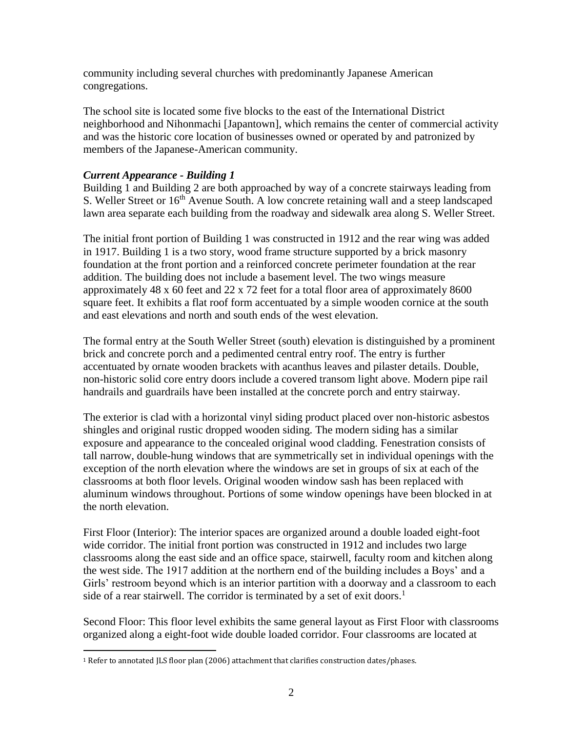community including several churches with predominantly Japanese American congregations.

The school site is located some five blocks to the east of the International District neighborhood and Nihonmachi [Japantown], which remains the center of commercial activity and was the historic core location of businesses owned or operated by and patronized by members of the Japanese-American community.

## *Current Appearance - Building 1*

Building 1 and Building 2 are both approached by way of a concrete stairways leading from S. Weller Street or 16<sup>th</sup> Avenue South. A low concrete retaining wall and a steep landscaped lawn area separate each building from the roadway and sidewalk area along S. Weller Street.

The initial front portion of Building 1 was constructed in 1912 and the rear wing was added in 1917. Building 1 is a two story, wood frame structure supported by a brick masonry foundation at the front portion and a reinforced concrete perimeter foundation at the rear addition. The building does not include a basement level. The two wings measure approximately 48 x 60 feet and 22 x 72 feet for a total floor area of approximately 8600 square feet. It exhibits a flat roof form accentuated by a simple wooden cornice at the south and east elevations and north and south ends of the west elevation.

The formal entry at the South Weller Street (south) elevation is distinguished by a prominent brick and concrete porch and a pedimented central entry roof. The entry is further accentuated by ornate wooden brackets with acanthus leaves and pilaster details. Double, non-historic solid core entry doors include a covered transom light above. Modern pipe rail handrails and guardrails have been installed at the concrete porch and entry stairway.

The exterior is clad with a horizontal vinyl siding product placed over non-historic asbestos shingles and original rustic dropped wooden siding. The modern siding has a similar exposure and appearance to the concealed original wood cladding. Fenestration consists of tall narrow, double-hung windows that are symmetrically set in individual openings with the exception of the north elevation where the windows are set in groups of six at each of the classrooms at both floor levels. Original wooden window sash has been replaced with aluminum windows throughout. Portions of some window openings have been blocked in at the north elevation.

First Floor (Interior): The interior spaces are organized around a double loaded eight-foot wide corridor. The initial front portion was constructed in 1912 and includes two large classrooms along the east side and an office space, stairwell, faculty room and kitchen along the west side. The 1917 addition at the northern end of the building includes a Boys' and a Girls' restroom beyond which is an interior partition with a doorway and a classroom to each side of a rear stairwell. The corridor is terminated by a set of exit doors.<sup>1</sup>

Second Floor: This floor level exhibits the same general layout as First Floor with classrooms organized along a eight-foot wide double loaded corridor. Four classrooms are located at

 $\overline{a}$ <sup>1</sup> Refer to annotated JLS floor plan (2006) attachment that clarifies construction dates/phases.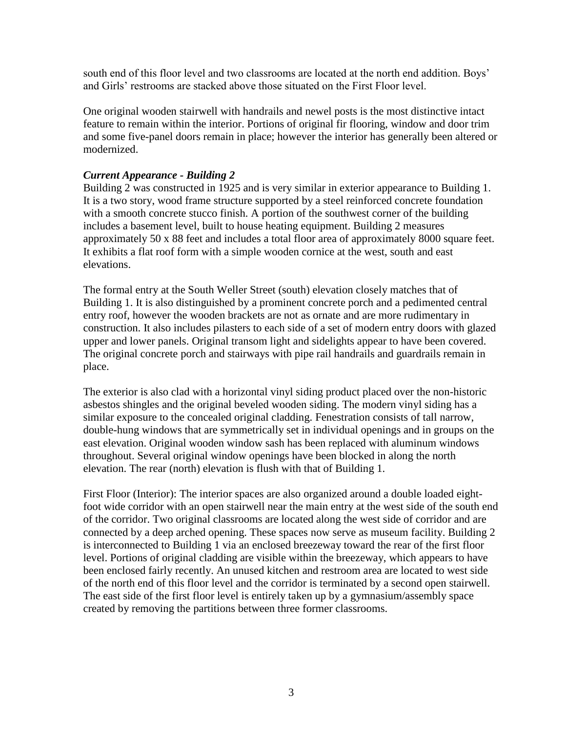south end of this floor level and two classrooms are located at the north end addition. Boys' and Girls' restrooms are stacked above those situated on the First Floor level.

One original wooden stairwell with handrails and newel posts is the most distinctive intact feature to remain within the interior. Portions of original fir flooring, window and door trim and some five-panel doors remain in place; however the interior has generally been altered or modernized.

## *Current Appearance - Building 2*

Building 2 was constructed in 1925 and is very similar in exterior appearance to Building 1. It is a two story, wood frame structure supported by a steel reinforced concrete foundation with a smooth concrete stucco finish. A portion of the southwest corner of the building includes a basement level, built to house heating equipment. Building 2 measures approximately 50 x 88 feet and includes a total floor area of approximately 8000 square feet. It exhibits a flat roof form with a simple wooden cornice at the west, south and east elevations.

The formal entry at the South Weller Street (south) elevation closely matches that of Building 1. It is also distinguished by a prominent concrete porch and a pedimented central entry roof, however the wooden brackets are not as ornate and are more rudimentary in construction. It also includes pilasters to each side of a set of modern entry doors with glazed upper and lower panels. Original transom light and sidelights appear to have been covered. The original concrete porch and stairways with pipe rail handrails and guardrails remain in place.

The exterior is also clad with a horizontal vinyl siding product placed over the non-historic asbestos shingles and the original beveled wooden siding. The modern vinyl siding has a similar exposure to the concealed original cladding. Fenestration consists of tall narrow, double-hung windows that are symmetrically set in individual openings and in groups on the east elevation. Original wooden window sash has been replaced with aluminum windows throughout. Several original window openings have been blocked in along the north elevation. The rear (north) elevation is flush with that of Building 1.

First Floor (Interior): The interior spaces are also organized around a double loaded eightfoot wide corridor with an open stairwell near the main entry at the west side of the south end of the corridor. Two original classrooms are located along the west side of corridor and are connected by a deep arched opening. These spaces now serve as museum facility. Building 2 is interconnected to Building 1 via an enclosed breezeway toward the rear of the first floor level. Portions of original cladding are visible within the breezeway, which appears to have been enclosed fairly recently. An unused kitchen and restroom area are located to west side of the north end of this floor level and the corridor is terminated by a second open stairwell. The east side of the first floor level is entirely taken up by a gymnasium/assembly space created by removing the partitions between three former classrooms.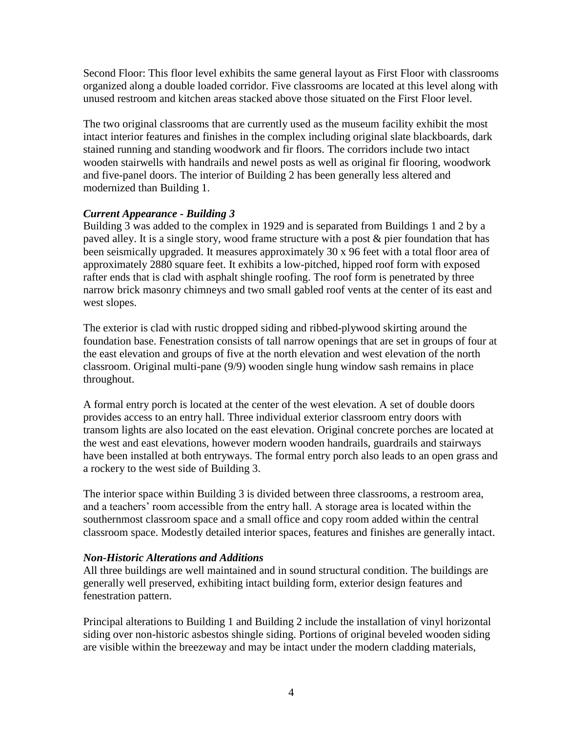Second Floor: This floor level exhibits the same general layout as First Floor with classrooms organized along a double loaded corridor. Five classrooms are located at this level along with unused restroom and kitchen areas stacked above those situated on the First Floor level.

The two original classrooms that are currently used as the museum facility exhibit the most intact interior features and finishes in the complex including original slate blackboards, dark stained running and standing woodwork and fir floors. The corridors include two intact wooden stairwells with handrails and newel posts as well as original fir flooring, woodwork and five-panel doors. The interior of Building 2 has been generally less altered and modernized than Building 1.

## *Current Appearance - Building 3*

Building 3 was added to the complex in 1929 and is separated from Buildings 1 and 2 by a paved alley. It is a single story, wood frame structure with a post & pier foundation that has been seismically upgraded. It measures approximately 30 x 96 feet with a total floor area of approximately 2880 square feet. It exhibits a low-pitched, hipped roof form with exposed rafter ends that is clad with asphalt shingle roofing. The roof form is penetrated by three narrow brick masonry chimneys and two small gabled roof vents at the center of its east and west slopes.

The exterior is clad with rustic dropped siding and ribbed-plywood skirting around the foundation base. Fenestration consists of tall narrow openings that are set in groups of four at the east elevation and groups of five at the north elevation and west elevation of the north classroom. Original multi-pane (9/9) wooden single hung window sash remains in place throughout.

A formal entry porch is located at the center of the west elevation. A set of double doors provides access to an entry hall. Three individual exterior classroom entry doors with transom lights are also located on the east elevation. Original concrete porches are located at the west and east elevations, however modern wooden handrails, guardrails and stairways have been installed at both entryways. The formal entry porch also leads to an open grass and a rockery to the west side of Building 3.

The interior space within Building 3 is divided between three classrooms, a restroom area, and a teachers' room accessible from the entry hall. A storage area is located within the southernmost classroom space and a small office and copy room added within the central classroom space. Modestly detailed interior spaces, features and finishes are generally intact.

#### *Non-Historic Alterations and Additions*

All three buildings are well maintained and in sound structural condition. The buildings are generally well preserved, exhibiting intact building form, exterior design features and fenestration pattern.

Principal alterations to Building 1 and Building 2 include the installation of vinyl horizontal siding over non-historic asbestos shingle siding. Portions of original beveled wooden siding are visible within the breezeway and may be intact under the modern cladding materials,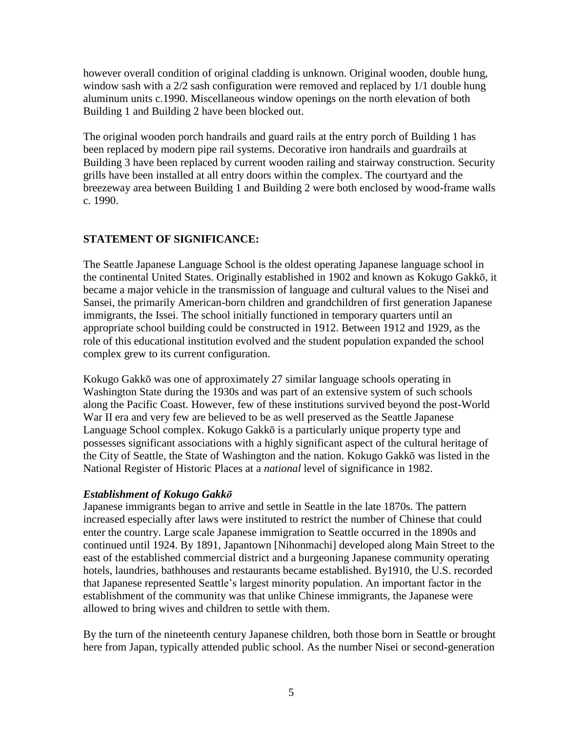however overall condition of original cladding is unknown. Original wooden, double hung, window sash with a  $2/2$  sash configuration were removed and replaced by  $1/1$  double hung aluminum units c.1990. Miscellaneous window openings on the north elevation of both Building 1 and Building 2 have been blocked out.

The original wooden porch handrails and guard rails at the entry porch of Building 1 has been replaced by modern pipe rail systems. Decorative iron handrails and guardrails at Building 3 have been replaced by current wooden railing and stairway construction. Security grills have been installed at all entry doors within the complex. The courtyard and the breezeway area between Building 1 and Building 2 were both enclosed by wood-frame walls c. 1990.

## **STATEMENT OF SIGNIFICANCE:**

The Seattle Japanese Language School is the oldest operating Japanese language school in the continental United States. Originally established in 1902 and known as Kokugo Gakkō, it became a major vehicle in the transmission of language and cultural values to the Nisei and Sansei, the primarily American-born children and grandchildren of first generation Japanese immigrants, the Issei. The school initially functioned in temporary quarters until an appropriate school building could be constructed in 1912. Between 1912 and 1929, as the role of this educational institution evolved and the student population expanded the school complex grew to its current configuration.

Kokugo Gakkō was one of approximately 27 similar language schools operating in Washington State during the 1930s and was part of an extensive system of such schools along the Pacific Coast. However, few of these institutions survived beyond the post-World War II era and very few are believed to be as well preserved as the Seattle Japanese Language School complex. Kokugo Gakkō is a particularly unique property type and possesses significant associations with a highly significant aspect of the cultural heritage of the City of Seattle, the State of Washington and the nation. Kokugo Gakkō was listed in the National Register of Historic Places at a *national* level of significance in 1982.

## *Establishment of Kokugo Gakkō*

Japanese immigrants began to arrive and settle in Seattle in the late 1870s. The pattern increased especially after laws were instituted to restrict the number of Chinese that could enter the country. Large scale Japanese immigration to Seattle occurred in the 1890s and continued until 1924. By 1891, Japantown [Nihonmachi] developed along Main Street to the east of the established commercial district and a burgeoning Japanese community operating hotels, laundries, bathhouses and restaurants became established. By1910, the U.S. recorded that Japanese represented Seattle's largest minority population. An important factor in the establishment of the community was that unlike Chinese immigrants, the Japanese were allowed to bring wives and children to settle with them.

By the turn of the nineteenth century Japanese children, both those born in Seattle or brought here from Japan, typically attended public school. As the number Nisei or second-generation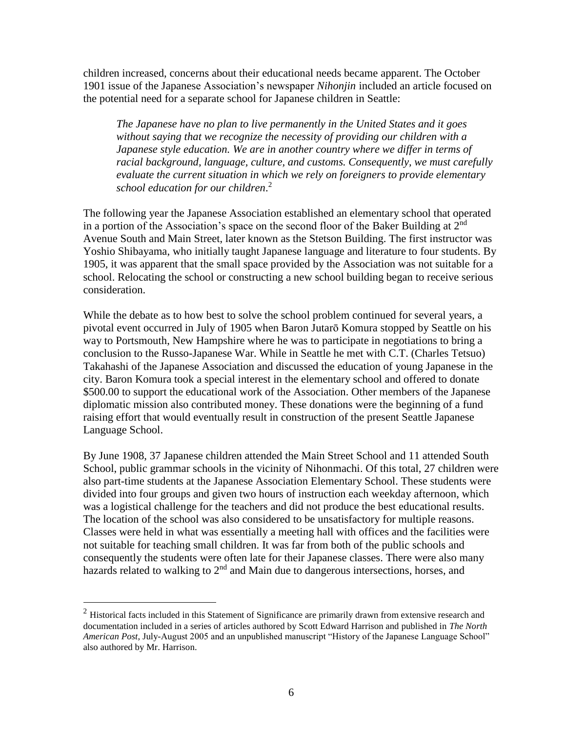children increased, concerns about their educational needs became apparent. The October 1901 issue of the Japanese Association's newspaper *Nihonjin* included an article focused on the potential need for a separate school for Japanese children in Seattle:

*The Japanese have no plan to live permanently in the United States and it goes without saying that we recognize the necessity of providing our children with a Japanese style education. We are in another country where we differ in terms of racial background, language, culture, and customs. Consequently, we must carefully evaluate the current situation in which we rely on foreigners to provide elementary school education for our children*. 2

The following year the Japanese Association established an elementary school that operated in a portion of the Association's space on the second floor of the Baker Building at  $2^{nd}$ Avenue South and Main Street, later known as the Stetson Building. The first instructor was Yoshio Shibayama, who initially taught Japanese language and literature to four students. By 1905, it was apparent that the small space provided by the Association was not suitable for a school. Relocating the school or constructing a new school building began to receive serious consideration.

While the debate as to how best to solve the school problem continued for several years, a pivotal event occurred in July of 1905 when Baron Jutarō Komura stopped by Seattle on his way to Portsmouth, New Hampshire where he was to participate in negotiations to bring a conclusion to the Russo-Japanese War. While in Seattle he met with C.T. (Charles Tetsuo) Takahashi of the Japanese Association and discussed the education of young Japanese in the city. Baron Komura took a special interest in the elementary school and offered to donate \$500.00 to support the educational work of the Association. Other members of the Japanese diplomatic mission also contributed money. These donations were the beginning of a fund raising effort that would eventually result in construction of the present Seattle Japanese Language School.

By June 1908, 37 Japanese children attended the Main Street School and 11 attended South School, public grammar schools in the vicinity of Nihonmachi. Of this total, 27 children were also part-time students at the Japanese Association Elementary School. These students were divided into four groups and given two hours of instruction each weekday afternoon, which was a logistical challenge for the teachers and did not produce the best educational results. The location of the school was also considered to be unsatisfactory for multiple reasons. Classes were held in what was essentially a meeting hall with offices and the facilities were not suitable for teaching small children. It was far from both of the public schools and consequently the students were often late for their Japanese classes. There were also many hazards related to walking to 2<sup>nd</sup> and Main due to dangerous intersections, horses, and

 $\overline{a}$ 

 $<sup>2</sup>$  Historical facts included in this Statement of Significance are primarily drawn from extensive research and</sup> documentation included in a series of articles authored by Scott Edward Harrison and published in *The North American Post*, July-August 2005 and an unpublished manuscript "History of the Japanese Language School" also authored by Mr. Harrison.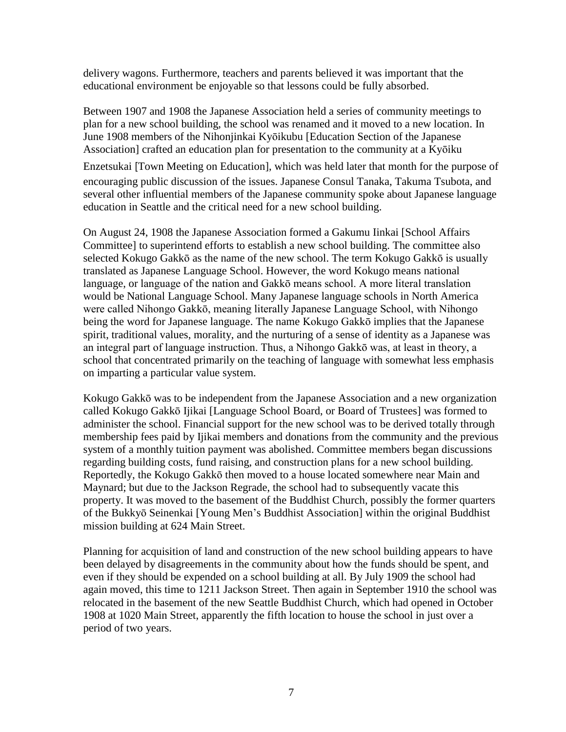delivery wagons. Furthermore, teachers and parents believed it was important that the educational environment be enjoyable so that lessons could be fully absorbed.

Between 1907 and 1908 the Japanese Association held a series of community meetings to plan for a new school building, the school was renamed and it moved to a new location. In June 1908 members of the Nihonjinkai Kyōikubu [Education Section of the Japanese Association] crafted an education plan for presentation to the community at a Kyōiku Enzetsukai [Town Meeting on Education], which was held later that month for the purpose of encouraging public discussion of the issues. Japanese Consul Tanaka, Takuma Tsubota, and several other influential members of the Japanese community spoke about Japanese language education in Seattle and the critical need for a new school building.

On August 24, 1908 the Japanese Association formed a Gakumu Iinkai [School Affairs Committee] to superintend efforts to establish a new school building. The committee also selected Kokugo Gakkō as the name of the new school. The term Kokugo Gakkō is usually translated as Japanese Language School. However, the word Kokugo means national language, or language of the nation and Gakkō means school. A more literal translation would be National Language School. Many Japanese language schools in North America were called Nihongo Gakkō, meaning literally Japanese Language School, with Nihongo being the word for Japanese language. The name Kokugo Gakkō implies that the Japanese spirit, traditional values, morality, and the nurturing of a sense of identity as a Japanese was an integral part of language instruction. Thus, a Nihongo Gakkō was, at least in theory, a school that concentrated primarily on the teaching of language with somewhat less emphasis on imparting a particular value system.

Kokugo Gakkō was to be independent from the Japanese Association and a new organization called Kokugo Gakkō Ijikai [Language School Board, or Board of Trustees] was formed to administer the school. Financial support for the new school was to be derived totally through membership fees paid by Ijikai members and donations from the community and the previous system of a monthly tuition payment was abolished. Committee members began discussions regarding building costs, fund raising, and construction plans for a new school building. Reportedly, the Kokugo Gakkō then moved to a house located somewhere near Main and Maynard; but due to the Jackson Regrade, the school had to subsequently vacate this property. It was moved to the basement of the Buddhist Church, possibly the former quarters of the Bukkyō Seinenkai [Young Men's Buddhist Association] within the original Buddhist mission building at 624 Main Street.

Planning for acquisition of land and construction of the new school building appears to have been delayed by disagreements in the community about how the funds should be spent, and even if they should be expended on a school building at all. By July 1909 the school had again moved, this time to 1211 Jackson Street. Then again in September 1910 the school was relocated in the basement of the new Seattle Buddhist Church, which had opened in October 1908 at 1020 Main Street, apparently the fifth location to house the school in just over a period of two years.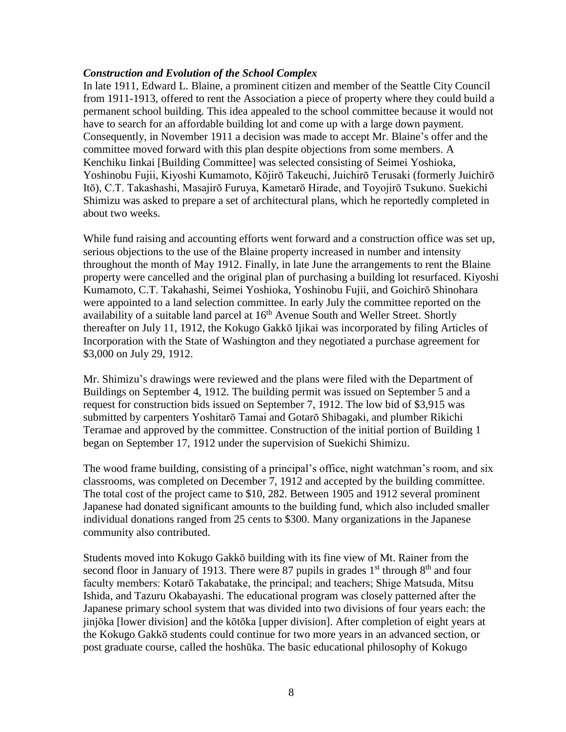#### *Construction and Evolution of the School Complex*

In late 1911, Edward L. Blaine, a prominent citizen and member of the Seattle City Council from 1911-1913, offered to rent the Association a piece of property where they could build a permanent school building. This idea appealed to the school committee because it would not have to search for an affordable building lot and come up with a large down payment. Consequently, in November 1911 a decision was made to accept Mr. Blaine's offer and the committee moved forward with this plan despite objections from some members. A Kenchiku Iinkai [Building Committee] was selected consisting of Seimei Yoshioka, Yoshinobu Fujii, Kiyoshi Kumamoto, Kōjirō Takeuchi, Juichirō Terusaki (formerly Juichirō Itō), C.T. Takashashi, Masajirō Furuya, Kametarō Hirade, and Toyojirō Tsukuno. Suekichi Shimizu was asked to prepare a set of architectural plans, which he reportedly completed in about two weeks.

While fund raising and accounting efforts went forward and a construction office was set up, serious objections to the use of the Blaine property increased in number and intensity throughout the month of May 1912. Finally, in late June the arrangements to rent the Blaine property were cancelled and the original plan of purchasing a building lot resurfaced. Kiyoshi Kumamoto, C.T. Takahashi, Seimei Yoshioka, Yoshinobu Fujii, and Goichirō Shinohara were appointed to a land selection committee. In early July the committee reported on the availability of a suitable land parcel at  $16<sup>th</sup>$  Avenue South and Weller Street. Shortly thereafter on July 11, 1912, the Kokugo Gakkō Ijikai was incorporated by filing Articles of Incorporation with the State of Washington and they negotiated a purchase agreement for \$3,000 on July 29, 1912.

Mr. Shimizu's drawings were reviewed and the plans were filed with the Department of Buildings on September 4, 1912. The building permit was issued on September 5 and a request for construction bids issued on September 7, 1912. The low bid of \$3,915 was submitted by carpenters Yoshitarō Tamai and Gotarō Shibagaki, and plumber Rikichi Teramae and approved by the committee. Construction of the initial portion of Building 1 began on September 17, 1912 under the supervision of Suekichi Shimizu.

The wood frame building, consisting of a principal's office, night watchman's room, and six classrooms, was completed on December 7, 1912 and accepted by the building committee. The total cost of the project came to \$10, 282. Between 1905 and 1912 several prominent Japanese had donated significant amounts to the building fund, which also included smaller individual donations ranged from 25 cents to \$300. Many organizations in the Japanese community also contributed.

Students moved into Kokugo Gakkō building with its fine view of Mt. Rainer from the second floor in January of 1913. There were 87 pupils in grades  $1<sup>st</sup>$  through  $8<sup>th</sup>$  and four faculty members: Kotarō Takabatake, the principal; and teachers; Shige Matsuda, Mitsu Ishida, and Tazuru Okabayashi. The educational program was closely patterned after the Japanese primary school system that was divided into two divisions of four years each: the jinjōka [lower division] and the kōtōka [upper division]. After completion of eight years at the Kokugo Gakkō students could continue for two more years in an advanced section, or post graduate course, called the hoshūka. The basic educational philosophy of Kokugo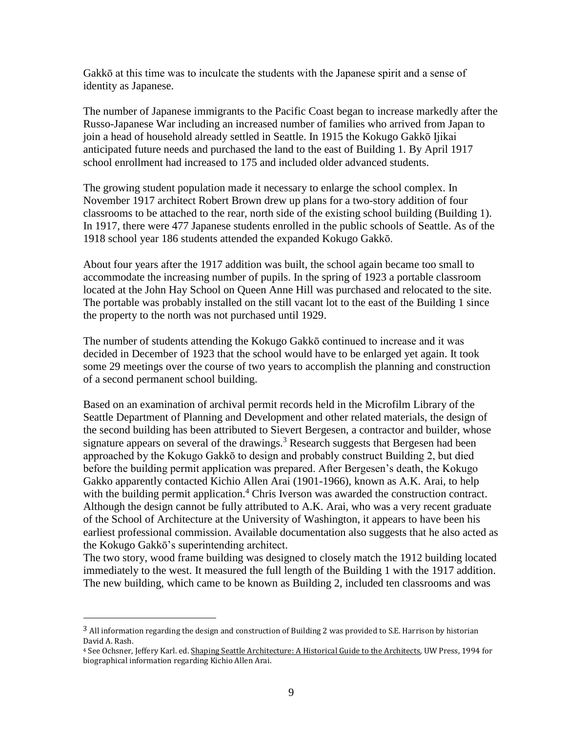Gakkō at this time was to inculcate the students with the Japanese spirit and a sense of identity as Japanese.

The number of Japanese immigrants to the Pacific Coast began to increase markedly after the Russo-Japanese War including an increased number of families who arrived from Japan to join a head of household already settled in Seattle. In 1915 the Kokugo Gakkō Ijikai anticipated future needs and purchased the land to the east of Building 1. By April 1917 school enrollment had increased to 175 and included older advanced students.

The growing student population made it necessary to enlarge the school complex. In November 1917 architect Robert Brown drew up plans for a two-story addition of four classrooms to be attached to the rear, north side of the existing school building (Building 1). In 1917, there were 477 Japanese students enrolled in the public schools of Seattle. As of the 1918 school year 186 students attended the expanded Kokugo Gakkō.

About four years after the 1917 addition was built, the school again became too small to accommodate the increasing number of pupils. In the spring of 1923 a portable classroom located at the John Hay School on Queen Anne Hill was purchased and relocated to the site. The portable was probably installed on the still vacant lot to the east of the Building 1 since the property to the north was not purchased until 1929.

The number of students attending the Kokugo Gakkō continued to increase and it was decided in December of 1923 that the school would have to be enlarged yet again. It took some 29 meetings over the course of two years to accomplish the planning and construction of a second permanent school building.

Based on an examination of archival permit records held in the Microfilm Library of the Seattle Department of Planning and Development and other related materials, the design of the second building has been attributed to Sievert Bergesen, a contractor and builder, whose signature appears on several of the drawings.<sup>3</sup> Research suggests that Bergesen had been approached by the Kokugo Gakkō to design and probably construct Building 2, but died before the building permit application was prepared. After Bergesen's death, the Kokugo Gakko apparently contacted Kichio Allen Arai (1901-1966), known as A.K. Arai, to help with the building permit application.<sup>4</sup> Chris Iverson was awarded the construction contract. Although the design cannot be fully attributed to A.K. Arai, who was a very recent graduate of the School of Architecture at the University of Washington, it appears to have been his earliest professional commission. Available documentation also suggests that he also acted as the Kokugo Gakkō's superintending architect.

The two story, wood frame building was designed to closely match the 1912 building located immediately to the west. It measured the full length of the Building 1 with the 1917 addition. The new building, which came to be known as Building 2, included ten classrooms and was

 $\overline{a}$ 

<sup>&</sup>lt;sup>3</sup> All information regarding the design and construction of Building 2 was provided to S.E. Harrison by historian David A. Rash.

<sup>&</sup>lt;sup>4</sup> See Ochsner, Jeffery Karl. ed. Shaping Seattle Architecture: A Historical Guide to the Architects, UW Press, 1994 for biographical information regarding Kichio Allen Arai.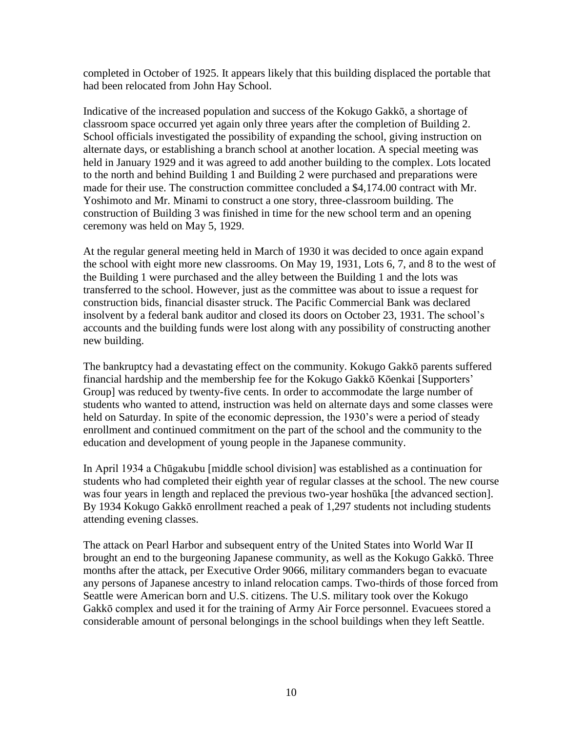completed in October of 1925. It appears likely that this building displaced the portable that had been relocated from John Hay School.

Indicative of the increased population and success of the Kokugo Gakkō, a shortage of classroom space occurred yet again only three years after the completion of Building 2. School officials investigated the possibility of expanding the school, giving instruction on alternate days, or establishing a branch school at another location. A special meeting was held in January 1929 and it was agreed to add another building to the complex. Lots located to the north and behind Building 1 and Building 2 were purchased and preparations were made for their use. The construction committee concluded a \$4,174.00 contract with Mr. Yoshimoto and Mr. Minami to construct a one story, three-classroom building. The construction of Building 3 was finished in time for the new school term and an opening ceremony was held on May 5, 1929.

At the regular general meeting held in March of 1930 it was decided to once again expand the school with eight more new classrooms. On May 19, 1931, Lots 6, 7, and 8 to the west of the Building 1 were purchased and the alley between the Building 1 and the lots was transferred to the school. However, just as the committee was about to issue a request for construction bids, financial disaster struck. The Pacific Commercial Bank was declared insolvent by a federal bank auditor and closed its doors on October 23, 1931. The school's accounts and the building funds were lost along with any possibility of constructing another new building.

The bankruptcy had a devastating effect on the community. Kokugo Gakkō parents suffered financial hardship and the membership fee for the Kokugo Gakkō Kōenkai [Supporters' Group] was reduced by twenty-five cents. In order to accommodate the large number of students who wanted to attend, instruction was held on alternate days and some classes were held on Saturday. In spite of the economic depression, the 1930's were a period of steady enrollment and continued commitment on the part of the school and the community to the education and development of young people in the Japanese community.

In April 1934 a Chūgakubu [middle school division] was established as a continuation for students who had completed their eighth year of regular classes at the school. The new course was four years in length and replaced the previous two-year hoshūka [the advanced section]. By 1934 Kokugo Gakkō enrollment reached a peak of 1,297 students not including students attending evening classes.

The attack on Pearl Harbor and subsequent entry of the United States into World War II brought an end to the burgeoning Japanese community, as well as the Kokugo Gakkō. Three months after the attack, per Executive Order 9066, military commanders began to evacuate any persons of Japanese ancestry to inland relocation camps. Two-thirds of those forced from Seattle were American born and U.S. citizens. The U.S. military took over the Kokugo Gakkō complex and used it for the training of Army Air Force personnel. Evacuees stored a considerable amount of personal belongings in the school buildings when they left Seattle.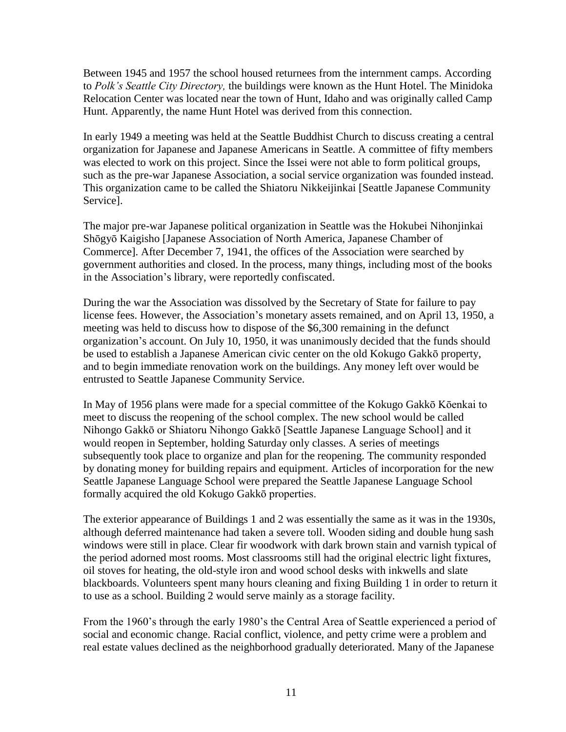Between 1945 and 1957 the school housed returnees from the internment camps. According to *Polk's Seattle City Directory,* the buildings were known as the Hunt Hotel. The Minidoka Relocation Center was located near the town of Hunt, Idaho and was originally called Camp Hunt. Apparently, the name Hunt Hotel was derived from this connection.

In early 1949 a meeting was held at the Seattle Buddhist Church to discuss creating a central organization for Japanese and Japanese Americans in Seattle. A committee of fifty members was elected to work on this project. Since the Issei were not able to form political groups, such as the pre-war Japanese Association, a social service organization was founded instead. This organization came to be called the Shiatoru Nikkeijinkai [Seattle Japanese Community Service].

The major pre-war Japanese political organization in Seattle was the Hokubei Nihonjinkai Shōgyō Kaigisho [Japanese Association of North America, Japanese Chamber of Commerce]. After December 7, 1941, the offices of the Association were searched by government authorities and closed. In the process, many things, including most of the books in the Association's library, were reportedly confiscated.

During the war the Association was dissolved by the Secretary of State for failure to pay license fees. However, the Association's monetary assets remained, and on April 13, 1950, a meeting was held to discuss how to dispose of the \$6,300 remaining in the defunct organization's account. On July 10, 1950, it was unanimously decided that the funds should be used to establish a Japanese American civic center on the old Kokugo Gakkō property, and to begin immediate renovation work on the buildings. Any money left over would be entrusted to Seattle Japanese Community Service.

In May of 1956 plans were made for a special committee of the Kokugo Gakkō Kōenkai to meet to discuss the reopening of the school complex. The new school would be called Nihongo Gakkō or Shiatoru Nihongo Gakkō [Seattle Japanese Language School] and it would reopen in September, holding Saturday only classes. A series of meetings subsequently took place to organize and plan for the reopening. The community responded by donating money for building repairs and equipment. Articles of incorporation for the new Seattle Japanese Language School were prepared the Seattle Japanese Language School formally acquired the old Kokugo Gakkō properties.

The exterior appearance of Buildings 1 and 2 was essentially the same as it was in the 1930s, although deferred maintenance had taken a severe toll. Wooden siding and double hung sash windows were still in place. Clear fir woodwork with dark brown stain and varnish typical of the period adorned most rooms. Most classrooms still had the original electric light fixtures, oil stoves for heating, the old-style iron and wood school desks with inkwells and slate blackboards. Volunteers spent many hours cleaning and fixing Building 1 in order to return it to use as a school. Building 2 would serve mainly as a storage facility.

From the 1960's through the early 1980's the Central Area of Seattle experienced a period of social and economic change. Racial conflict, violence, and petty crime were a problem and real estate values declined as the neighborhood gradually deteriorated. Many of the Japanese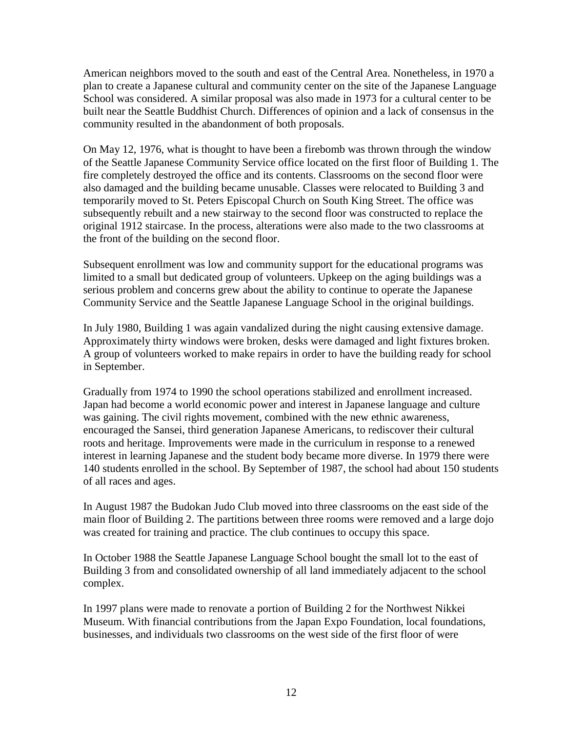American neighbors moved to the south and east of the Central Area. Nonetheless, in 1970 a plan to create a Japanese cultural and community center on the site of the Japanese Language School was considered. A similar proposal was also made in 1973 for a cultural center to be built near the Seattle Buddhist Church. Differences of opinion and a lack of consensus in the community resulted in the abandonment of both proposals.

On May 12, 1976, what is thought to have been a firebomb was thrown through the window of the Seattle Japanese Community Service office located on the first floor of Building 1. The fire completely destroyed the office and its contents. Classrooms on the second floor were also damaged and the building became unusable. Classes were relocated to Building 3 and temporarily moved to St. Peters Episcopal Church on South King Street. The office was subsequently rebuilt and a new stairway to the second floor was constructed to replace the original 1912 staircase. In the process, alterations were also made to the two classrooms at the front of the building on the second floor.

Subsequent enrollment was low and community support for the educational programs was limited to a small but dedicated group of volunteers. Upkeep on the aging buildings was a serious problem and concerns grew about the ability to continue to operate the Japanese Community Service and the Seattle Japanese Language School in the original buildings.

In July 1980, Building 1 was again vandalized during the night causing extensive damage. Approximately thirty windows were broken, desks were damaged and light fixtures broken. A group of volunteers worked to make repairs in order to have the building ready for school in September.

Gradually from 1974 to 1990 the school operations stabilized and enrollment increased. Japan had become a world economic power and interest in Japanese language and culture was gaining. The civil rights movement, combined with the new ethnic awareness, encouraged the Sansei, third generation Japanese Americans, to rediscover their cultural roots and heritage. Improvements were made in the curriculum in response to a renewed interest in learning Japanese and the student body became more diverse. In 1979 there were 140 students enrolled in the school. By September of 1987, the school had about 150 students of all races and ages.

In August 1987 the Budokan Judo Club moved into three classrooms on the east side of the main floor of Building 2. The partitions between three rooms were removed and a large dojo was created for training and practice. The club continues to occupy this space.

In October 1988 the Seattle Japanese Language School bought the small lot to the east of Building 3 from and consolidated ownership of all land immediately adjacent to the school complex.

In 1997 plans were made to renovate a portion of Building 2 for the Northwest Nikkei Museum. With financial contributions from the Japan Expo Foundation, local foundations, businesses, and individuals two classrooms on the west side of the first floor of were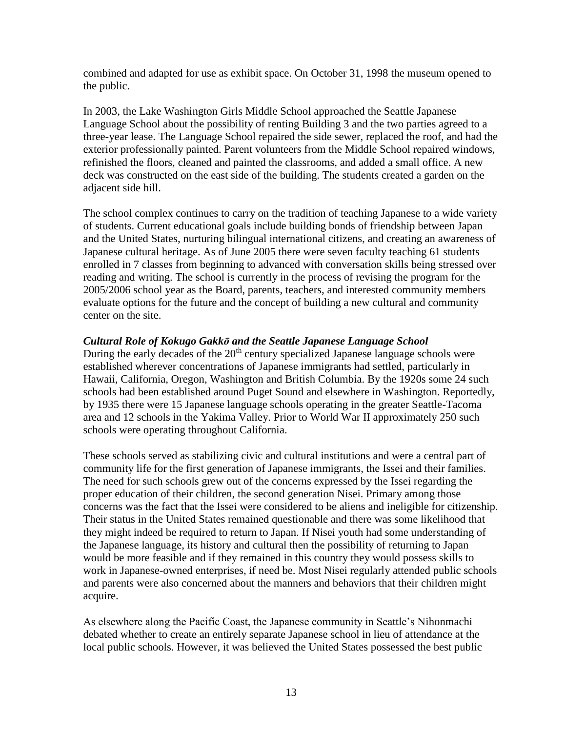combined and adapted for use as exhibit space. On October 31, 1998 the museum opened to the public.

In 2003, the Lake Washington Girls Middle School approached the Seattle Japanese Language School about the possibility of renting Building 3 and the two parties agreed to a three-year lease. The Language School repaired the side sewer, replaced the roof, and had the exterior professionally painted. Parent volunteers from the Middle School repaired windows, refinished the floors, cleaned and painted the classrooms, and added a small office. A new deck was constructed on the east side of the building. The students created a garden on the adjacent side hill.

The school complex continues to carry on the tradition of teaching Japanese to a wide variety of students. Current educational goals include building bonds of friendship between Japan and the United States, nurturing bilingual international citizens, and creating an awareness of Japanese cultural heritage. As of June 2005 there were seven faculty teaching 61 students enrolled in 7 classes from beginning to advanced with conversation skills being stressed over reading and writing. The school is currently in the process of revising the program for the 2005/2006 school year as the Board, parents, teachers, and interested community members evaluate options for the future and the concept of building a new cultural and community center on the site.

### *Cultural Role of Kokugo Gakkō and the Seattle Japanese Language School*

During the early decades of the  $20<sup>th</sup>$  century specialized Japanese language schools were established wherever concentrations of Japanese immigrants had settled, particularly in Hawaii, California, Oregon, Washington and British Columbia. By the 1920s some 24 such schools had been established around Puget Sound and elsewhere in Washington. Reportedly, by 1935 there were 15 Japanese language schools operating in the greater Seattle-Tacoma area and 12 schools in the Yakima Valley. Prior to World War II approximately 250 such schools were operating throughout California.

These schools served as stabilizing civic and cultural institutions and were a central part of community life for the first generation of Japanese immigrants, the Issei and their families. The need for such schools grew out of the concerns expressed by the Issei regarding the proper education of their children, the second generation Nisei. Primary among those concerns was the fact that the Issei were considered to be aliens and ineligible for citizenship. Their status in the United States remained questionable and there was some likelihood that they might indeed be required to return to Japan. If Nisei youth had some understanding of the Japanese language, its history and cultural then the possibility of returning to Japan would be more feasible and if they remained in this country they would possess skills to work in Japanese-owned enterprises, if need be. Most Nisei regularly attended public schools and parents were also concerned about the manners and behaviors that their children might acquire.

As elsewhere along the Pacific Coast, the Japanese community in Seattle's Nihonmachi debated whether to create an entirely separate Japanese school in lieu of attendance at the local public schools. However, it was believed the United States possessed the best public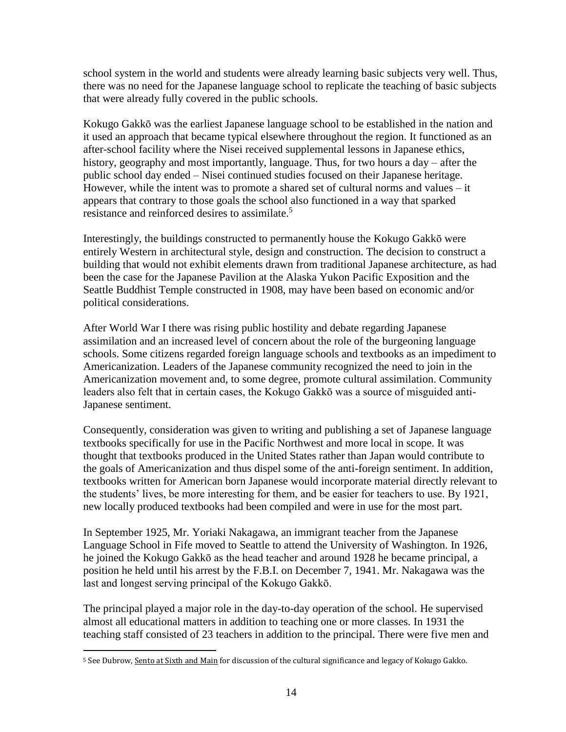school system in the world and students were already learning basic subjects very well. Thus, there was no need for the Japanese language school to replicate the teaching of basic subjects that were already fully covered in the public schools.

Kokugo Gakkō was the earliest Japanese language school to be established in the nation and it used an approach that became typical elsewhere throughout the region. It functioned as an after-school facility where the Nisei received supplemental lessons in Japanese ethics, history, geography and most importantly, language. Thus, for two hours a day – after the public school day ended – Nisei continued studies focused on their Japanese heritage. However, while the intent was to promote a shared set of cultural norms and values – it appears that contrary to those goals the school also functioned in a way that sparked resistance and reinforced desires to assimilate.<sup>5</sup>

Interestingly, the buildings constructed to permanently house the Kokugo Gakkō were entirely Western in architectural style, design and construction. The decision to construct a building that would not exhibit elements drawn from traditional Japanese architecture, as had been the case for the Japanese Pavilion at the Alaska Yukon Pacific Exposition and the Seattle Buddhist Temple constructed in 1908, may have been based on economic and/or political considerations.

After World War I there was rising public hostility and debate regarding Japanese assimilation and an increased level of concern about the role of the burgeoning language schools. Some citizens regarded foreign language schools and textbooks as an impediment to Americanization. Leaders of the Japanese community recognized the need to join in the Americanization movement and, to some degree, promote cultural assimilation. Community leaders also felt that in certain cases, the Kokugo Gakkō was a source of misguided anti-Japanese sentiment.

Consequently, consideration was given to writing and publishing a set of Japanese language textbooks specifically for use in the Pacific Northwest and more local in scope. It was thought that textbooks produced in the United States rather than Japan would contribute to the goals of Americanization and thus dispel some of the anti-foreign sentiment. In addition, textbooks written for American born Japanese would incorporate material directly relevant to the students' lives, be more interesting for them, and be easier for teachers to use. By 1921, new locally produced textbooks had been compiled and were in use for the most part.

In September 1925, Mr. Yoriaki Nakagawa, an immigrant teacher from the Japanese Language School in Fife moved to Seattle to attend the University of Washington. In 1926, he joined the Kokugo Gakkō as the head teacher and around 1928 he became principal, a position he held until his arrest by the F.B.I. on December 7, 1941. Mr. Nakagawa was the last and longest serving principal of the Kokugo Gakkō.

The principal played a major role in the day-to-day operation of the school. He supervised almost all educational matters in addition to teaching one or more classes. In 1931 the teaching staff consisted of 23 teachers in addition to the principal. There were five men and

 $\overline{a}$ <sup>5</sup> See Dubrow, Sento at Sixth and Main for discussion of the cultural significance and legacy of Kokugo Gakko.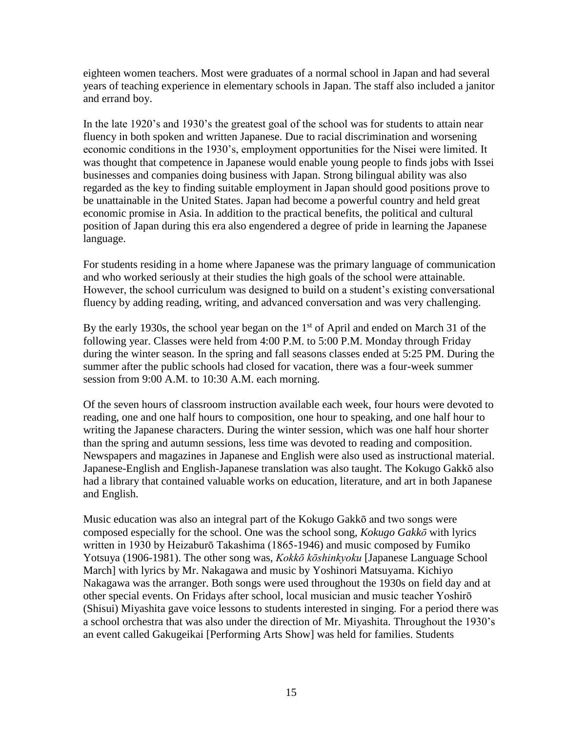eighteen women teachers. Most were graduates of a normal school in Japan and had several years of teaching experience in elementary schools in Japan. The staff also included a janitor and errand boy.

In the late 1920's and 1930's the greatest goal of the school was for students to attain near fluency in both spoken and written Japanese. Due to racial discrimination and worsening economic conditions in the 1930's, employment opportunities for the Nisei were limited. It was thought that competence in Japanese would enable young people to finds jobs with Issei businesses and companies doing business with Japan. Strong bilingual ability was also regarded as the key to finding suitable employment in Japan should good positions prove to be unattainable in the United States. Japan had become a powerful country and held great economic promise in Asia. In addition to the practical benefits, the political and cultural position of Japan during this era also engendered a degree of pride in learning the Japanese language.

For students residing in a home where Japanese was the primary language of communication and who worked seriously at their studies the high goals of the school were attainable. However, the school curriculum was designed to build on a student's existing conversational fluency by adding reading, writing, and advanced conversation and was very challenging.

By the early 1930s, the school year began on the  $1<sup>st</sup>$  of April and ended on March 31 of the following year. Classes were held from 4:00 P.M. to 5:00 P.M. Monday through Friday during the winter season. In the spring and fall seasons classes ended at 5:25 PM. During the summer after the public schools had closed for vacation, there was a four-week summer session from 9:00 A.M. to 10:30 A.M. each morning.

Of the seven hours of classroom instruction available each week, four hours were devoted to reading, one and one half hours to composition, one hour to speaking, and one half hour to writing the Japanese characters. During the winter session, which was one half hour shorter than the spring and autumn sessions, less time was devoted to reading and composition. Newspapers and magazines in Japanese and English were also used as instructional material. Japanese-English and English-Japanese translation was also taught. The Kokugo Gakkō also had a library that contained valuable works on education, literature, and art in both Japanese and English.

Music education was also an integral part of the Kokugo Gakkō and two songs were composed especially for the school. One was the school song, *Kokugo Gakkō* with lyrics written in 1930 by Heizaburō Takashima (1865-1946) and music composed by Fumiko Yotsuya (1906-1981). The other song was, *Kokkō kōshinkyoku* [Japanese Language School March] with lyrics by Mr. Nakagawa and music by Yoshinori Matsuyama. Kichiyo Nakagawa was the arranger. Both songs were used throughout the 1930s on field day and at other special events. On Fridays after school, local musician and music teacher Yoshirō (Shisui) Miyashita gave voice lessons to students interested in singing. For a period there was a school orchestra that was also under the direction of Mr. Miyashita. Throughout the 1930's an event called Gakugeikai [Performing Arts Show] was held for families. Students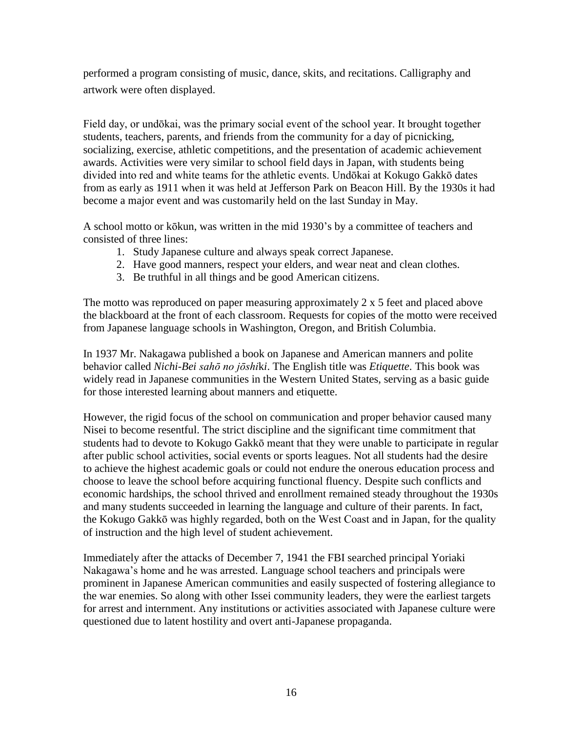performed a program consisting of music, dance, skits, and recitations. Calligraphy and artwork were often displayed.

Field day, or undōkai, was the primary social event of the school year. It brought together students, teachers, parents, and friends from the community for a day of picnicking, socializing, exercise, athletic competitions, and the presentation of academic achievement awards. Activities were very similar to school field days in Japan, with students being divided into red and white teams for the athletic events. Undōkai at Kokugo Gakkō dates from as early as 1911 when it was held at Jefferson Park on Beacon Hill. By the 1930s it had become a major event and was customarily held on the last Sunday in May.

A school motto or kōkun, was written in the mid 1930's by a committee of teachers and consisted of three lines:

- 1. Study Japanese culture and always speak correct Japanese.
- 2. Have good manners, respect your elders, and wear neat and clean clothes.
- 3. Be truthful in all things and be good American citizens.

The motto was reproduced on paper measuring approximately 2 x 5 feet and placed above the blackboard at the front of each classroom. Requests for copies of the motto were received from Japanese language schools in Washington, Oregon, and British Columbia.

In 1937 Mr. Nakagawa published a book on Japanese and American manners and polite behavior called *Nichi-Bei sahō no jōshi*k*i*. The English title was *Etiquette*. This book was widely read in Japanese communities in the Western United States, serving as a basic guide for those interested learning about manners and etiquette.

However, the rigid focus of the school on communication and proper behavior caused many Nisei to become resentful. The strict discipline and the significant time commitment that students had to devote to Kokugo Gakkō meant that they were unable to participate in regular after public school activities, social events or sports leagues. Not all students had the desire to achieve the highest academic goals or could not endure the onerous education process and choose to leave the school before acquiring functional fluency. Despite such conflicts and economic hardships, the school thrived and enrollment remained steady throughout the 1930s and many students succeeded in learning the language and culture of their parents. In fact, the Kokugo Gakkō was highly regarded, both on the West Coast and in Japan, for the quality of instruction and the high level of student achievement.

Immediately after the attacks of December 7, 1941 the FBI searched principal Yoriaki Nakagawa's home and he was arrested. Language school teachers and principals were prominent in Japanese American communities and easily suspected of fostering allegiance to the war enemies. So along with other Issei community leaders, they were the earliest targets for arrest and internment. Any institutions or activities associated with Japanese culture were questioned due to latent hostility and overt anti-Japanese propaganda.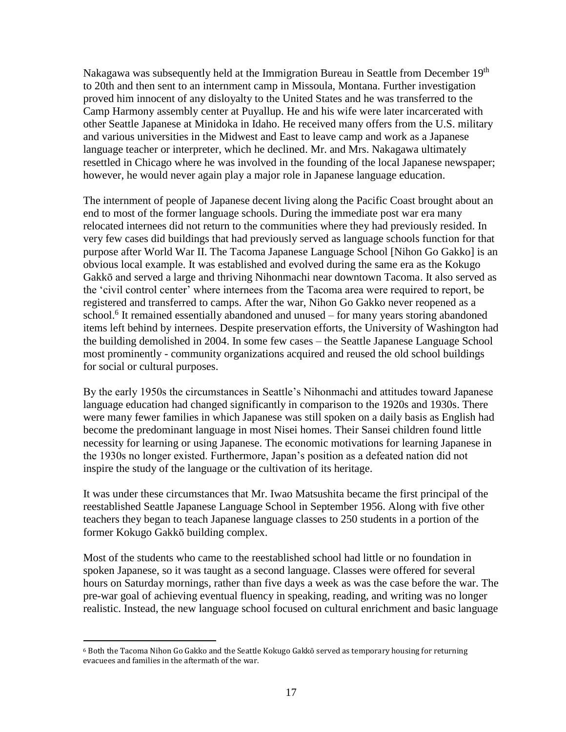Nakagawa was subsequently held at the Immigration Bureau in Seattle from December 19<sup>th</sup> to 20th and then sent to an internment camp in Missoula, Montana. Further investigation proved him innocent of any disloyalty to the United States and he was transferred to the Camp Harmony assembly center at Puyallup. He and his wife were later incarcerated with other Seattle Japanese at Minidoka in Idaho. He received many offers from the U.S. military and various universities in the Midwest and East to leave camp and work as a Japanese language teacher or interpreter, which he declined. Mr. and Mrs. Nakagawa ultimately resettled in Chicago where he was involved in the founding of the local Japanese newspaper; however, he would never again play a major role in Japanese language education.

The internment of people of Japanese decent living along the Pacific Coast brought about an end to most of the former language schools. During the immediate post war era many relocated internees did not return to the communities where they had previously resided. In very few cases did buildings that had previously served as language schools function for that purpose after World War II. The Tacoma Japanese Language School [Nihon Go Gakko] is an obvious local example. It was established and evolved during the same era as the Kokugo Gakkō and served a large and thriving Nihonmachi near downtown Tacoma. It also served as the 'civil control center' where internees from the Tacoma area were required to report, be registered and transferred to camps. After the war, Nihon Go Gakko never reopened as a school.<sup>6</sup> It remained essentially abandoned and unused – for many years storing abandoned items left behind by internees. Despite preservation efforts, the University of Washington had the building demolished in 2004. In some few cases – the Seattle Japanese Language School most prominently - community organizations acquired and reused the old school buildings for social or cultural purposes.

By the early 1950s the circumstances in Seattle's Nihonmachi and attitudes toward Japanese language education had changed significantly in comparison to the 1920s and 1930s. There were many fewer families in which Japanese was still spoken on a daily basis as English had become the predominant language in most Nisei homes. Their Sansei children found little necessity for learning or using Japanese. The economic motivations for learning Japanese in the 1930s no longer existed. Furthermore, Japan's position as a defeated nation did not inspire the study of the language or the cultivation of its heritage.

It was under these circumstances that Mr. Iwao Matsushita became the first principal of the reestablished Seattle Japanese Language School in September 1956. Along with five other teachers they began to teach Japanese language classes to 250 students in a portion of the former Kokugo Gakkō building complex.

Most of the students who came to the reestablished school had little or no foundation in spoken Japanese, so it was taught as a second language. Classes were offered for several hours on Saturday mornings, rather than five days a week as was the case before the war. The pre-war goal of achieving eventual fluency in speaking, reading, and writing was no longer realistic. Instead, the new language school focused on cultural enrichment and basic language

 $\overline{a}$ 

<sup>6</sup> Both the Tacoma Nihon Go Gakko and the Seattle Kokugo Gakkō served as temporary housing for returning evacuees and families in the aftermath of the war.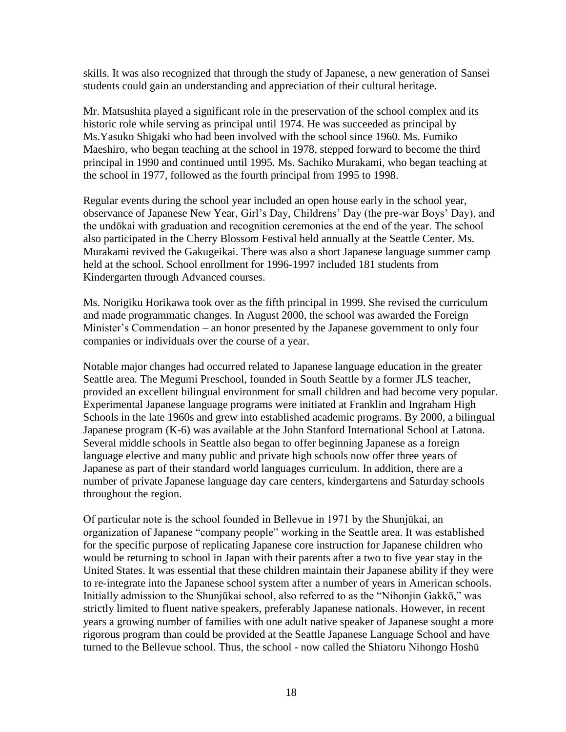skills. It was also recognized that through the study of Japanese, a new generation of Sansei students could gain an understanding and appreciation of their cultural heritage.

Mr. Matsushita played a significant role in the preservation of the school complex and its historic role while serving as principal until 1974. He was succeeded as principal by Ms.Yasuko Shigaki who had been involved with the school since 1960. Ms. Fumiko Maeshiro, who began teaching at the school in 1978, stepped forward to become the third principal in 1990 and continued until 1995. Ms. Sachiko Murakami, who began teaching at the school in 1977, followed as the fourth principal from 1995 to 1998.

Regular events during the school year included an open house early in the school year, observance of Japanese New Year, Girl's Day, Childrens' Day (the pre-war Boys' Day), and the undōkai with graduation and recognition ceremonies at the end of the year. The school also participated in the Cherry Blossom Festival held annually at the Seattle Center. Ms. Murakami revived the Gakugeikai. There was also a short Japanese language summer camp held at the school. School enrollment for 1996-1997 included 181 students from Kindergarten through Advanced courses.

Ms. Norigiku Horikawa took over as the fifth principal in 1999. She revised the curriculum and made programmatic changes. In August 2000, the school was awarded the Foreign Minister's Commendation – an honor presented by the Japanese government to only four companies or individuals over the course of a year.

Notable major changes had occurred related to Japanese language education in the greater Seattle area. The Megumi Preschool, founded in South Seattle by a former JLS teacher, provided an excellent bilingual environment for small children and had become very popular. Experimental Japanese language programs were initiated at Franklin and Ingraham High Schools in the late 1960s and grew into established academic programs. By 2000, a bilingual Japanese program (K-6) was available at the John Stanford International School at Latona. Several middle schools in Seattle also began to offer beginning Japanese as a foreign language elective and many public and private high schools now offer three years of Japanese as part of their standard world languages curriculum. In addition, there are a number of private Japanese language day care centers, kindergartens and Saturday schools throughout the region.

Of particular note is the school founded in Bellevue in 1971 by the Shunjūkai, an organization of Japanese "company people" working in the Seattle area. It was established for the specific purpose of replicating Japanese core instruction for Japanese children who would be returning to school in Japan with their parents after a two to five year stay in the United States. It was essential that these children maintain their Japanese ability if they were to re-integrate into the Japanese school system after a number of years in American schools. Initially admission to the Shunjūkai school, also referred to as the "Nihonjin Gakkō," was strictly limited to fluent native speakers, preferably Japanese nationals. However, in recent years a growing number of families with one adult native speaker of Japanese sought a more rigorous program than could be provided at the Seattle Japanese Language School and have turned to the Bellevue school. Thus, the school - now called the Shiatoru Nihongo Hoshū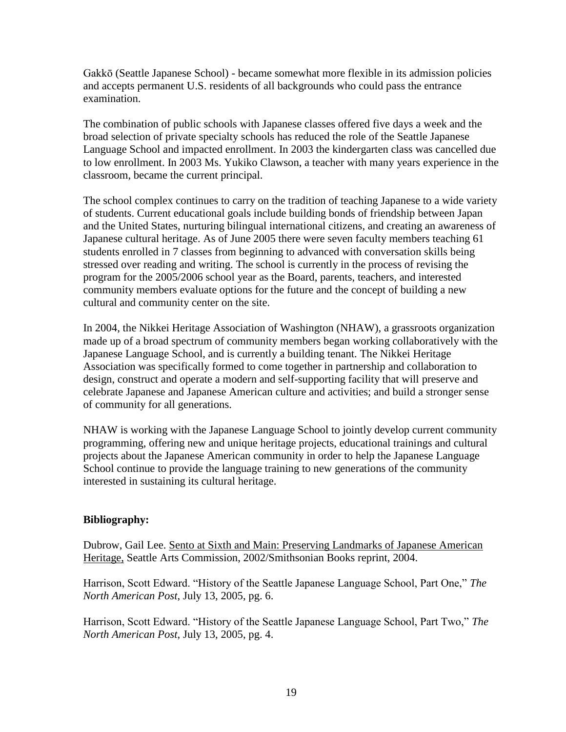Gakkō (Seattle Japanese School) - became somewhat more flexible in its admission policies and accepts permanent U.S. residents of all backgrounds who could pass the entrance examination.

The combination of public schools with Japanese classes offered five days a week and the broad selection of private specialty schools has reduced the role of the Seattle Japanese Language School and impacted enrollment. In 2003 the kindergarten class was cancelled due to low enrollment. In 2003 Ms. Yukiko Clawson, a teacher with many years experience in the classroom, became the current principal.

The school complex continues to carry on the tradition of teaching Japanese to a wide variety of students. Current educational goals include building bonds of friendship between Japan and the United States, nurturing bilingual international citizens, and creating an awareness of Japanese cultural heritage. As of June 2005 there were seven faculty members teaching 61 students enrolled in 7 classes from beginning to advanced with conversation skills being stressed over reading and writing. The school is currently in the process of revising the program for the 2005/2006 school year as the Board, parents, teachers, and interested community members evaluate options for the future and the concept of building a new cultural and community center on the site.

In 2004, the Nikkei Heritage Association of Washington (NHAW), a grassroots organization made up of a broad spectrum of community members began working collaboratively with the Japanese Language School, and is currently a building tenant. The Nikkei Heritage Association was specifically formed to come together in partnership and collaboration to design, construct and operate a modern and self-supporting facility that will preserve and celebrate Japanese and Japanese American culture and activities; and build a stronger sense of community for all generations.

NHAW is working with the Japanese Language School to jointly develop current community programming, offering new and unique heritage projects, educational trainings and cultural projects about the Japanese American community in order to help the Japanese Language School continue to provide the language training to new generations of the community interested in sustaining its cultural heritage.

#### **Bibliography:**

Dubrow, Gail Lee. Sento at Sixth and Main: Preserving Landmarks of Japanese American Heritage, Seattle Arts Commission, 2002/Smithsonian Books reprint, 2004.

Harrison, Scott Edward. "History of the Seattle Japanese Language School, Part One," *The North American Post*, July 13, 2005, pg. 6.

Harrison, Scott Edward. "History of the Seattle Japanese Language School, Part Two," *The North American Post*, July 13, 2005, pg. 4.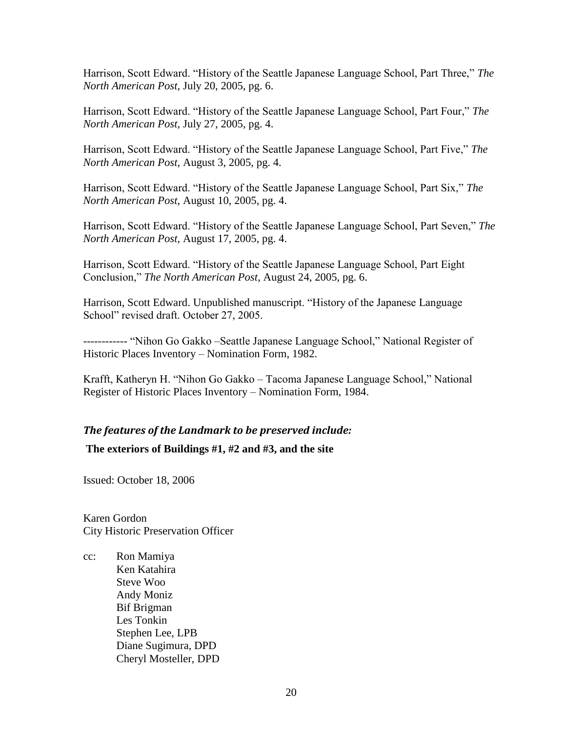Harrison, Scott Edward. "History of the Seattle Japanese Language School, Part Three," *The North American Post*, July 20, 2005, pg. 6.

Harrison, Scott Edward. "History of the Seattle Japanese Language School, Part Four," *The North American Post*, July 27, 2005, pg. 4.

Harrison, Scott Edward. "History of the Seattle Japanese Language School, Part Five," *The North American Post*, August 3, 2005, pg. 4.

Harrison, Scott Edward. "History of the Seattle Japanese Language School, Part Six," *The North American Post*, August 10, 2005, pg. 4.

Harrison, Scott Edward. "History of the Seattle Japanese Language School, Part Seven," *The North American Post*, August 17, 2005, pg. 4.

Harrison, Scott Edward. "History of the Seattle Japanese Language School, Part Eight Conclusion," *The North American Post*, August 24, 2005, pg. 6.

Harrison, Scott Edward. Unpublished manuscript. "History of the Japanese Language School" revised draft. October 27, 2005.

------------ "Nihon Go Gakko –Seattle Japanese Language School," National Register of Historic Places Inventory – Nomination Form, 1982.

Krafft, Katheryn H. "Nihon Go Gakko – Tacoma Japanese Language School," National Register of Historic Places Inventory – Nomination Form, 1984.

## *The features of the Landmark to be preserved include:*

**The exteriors of Buildings #1, #2 and #3, and the site**

Issued: October 18, 2006

Karen Gordon City Historic Preservation Officer

cc: Ron Mamiya Ken Katahira Steve Woo Andy Moniz Bif Brigman Les Tonkin Stephen Lee, LPB Diane Sugimura, DPD Cheryl Mosteller, DPD